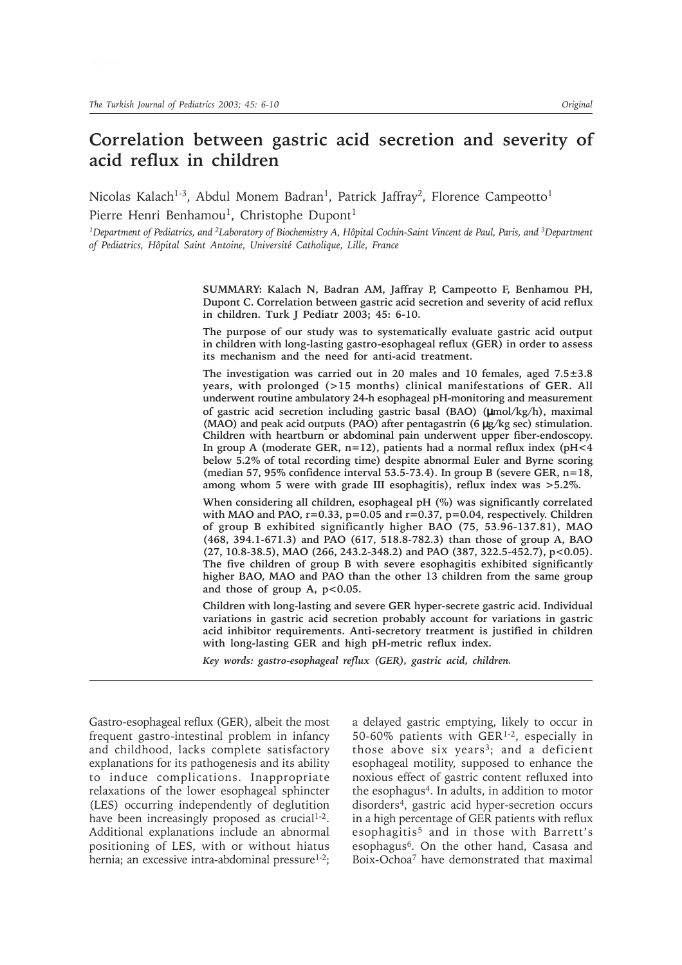# **Correlation between gastric acid secretion and severity of acid reflux in children**

Nicolas Kalach<sup>1-3</sup>, Abdul Monem Badran<sup>1</sup>, Patrick Jaffray<sup>2</sup>, Florence Campeotto<sup>1</sup> Pierre Henri Benhamou<sup>1</sup>, Christophe Dupont<sup>1</sup>

*1Department of Pediatrics, and 2Laboratory of Biochemistry A, Hôpital Cochin-Saint Vincent de Paul, Paris, and 3Department of Pediatrics, Hôpital Saint Antoine, Université Catholique, Lille, France*

> **SUMMARY: Kalach N, Badran AM, Jaffray P, Campeotto F, Benhamou PH, Dupont C. Correlation between gastric acid secretion and severity of acid reflux in children. Turk J Pediatr 2003; 45: 6-10.**

> **The purpose of our study was to systematically evaluate gastric acid output in children with long-lasting gastro-esophageal reflux (GER) in order to assess its mechanism and the need for anti-acid treatment.**

> **The investigation was carried out in 20 males and 10 females, aged 7.5±3.8 years, with prolonged (>15 months) clinical manifestations of GER. All underwent routine ambulatory 24-h esophageal pH-monitoring and measurement of gastric acid secretion including gastric basal (BAO) (**µ**mol/kg/h), maximal (MAO) and peak acid outputs (PAO) after pentagastrin (6** µ**g/kg sec) stimulation. Children with heartburn or abdominal pain underwent upper fiber-endoscopy. In group A (moderate GER, n=12), patients had a normal reflux index (pH<4 below 5.2% of total recording time) despite abnormal Euler and Byrne scoring (median 57, 95% confidence interval 53.5-73.4). In group B (severe GER, n=18, among whom 5 were with grade III esophagitis), reflux index was >5.2%.**

> **When considering all children, esophageal pH (%) was significantly correlated with MAO and PAO, r=0.33, p=0.05 and r=0.37, p=0.04, respectively. Children of group B exhibited significantly higher BAO (75, 53.96-137.81), MAO (468, 394.1-671.3) and PAO (617, 518.8-782.3) than those of group A, BAO (27, 10.8-38.5), MAO (266, 243.2-348.2) and PAO (387, 322.5-452.7), p<0.05). The five children of group B with severe esophagitis exhibited significantly higher BAO, MAO and PAO than the other 13 children from the same group** and those of group A,  $p<0.05$ .

> **Children with long-lasting and severe GER hyper-secrete gastric acid. Individual variations in gastric acid secretion probably account for variations in gastric acid inhibitor requirements. Anti-secretory treatment is justified in children with long-lasting GER and high pH-metric reflux index.**

*Key words: gastro-esophageal reflux (GER), gastric acid, children.*

Gastro-esophageal reflux (GER), albeit the most frequent gastro-intestinal problem in infancy and childhood, lacks complete satisfactory explanations for its pathogenesis and its ability to induce complications. Inappropriate relaxations of the lower esophageal sphincter (LES) occurring independently of deglutition have been increasingly proposed as crucial<sup>1-2</sup>. Additional explanations include an abnormal positioning of LES, with or without hiatus hernia; an excessive intra-abdominal pressure<sup>1-2</sup>;

a delayed gastric emptying, likely to occur in 50-60% patients with GER1-2, especially in those above six years<sup>3</sup>; and a deficient esophageal motility, supposed to enhance the noxious effect of gastric content refluxed into the esophagus4. In adults, in addition to motor disorders4, gastric acid hyper-secretion occurs in a high percentage of GER patients with reflux esophagitis<sup>5</sup> and in those with Barrett's esophagus6. On the other hand, Casasa and Boix-Ochoa7 have demonstrated that maximal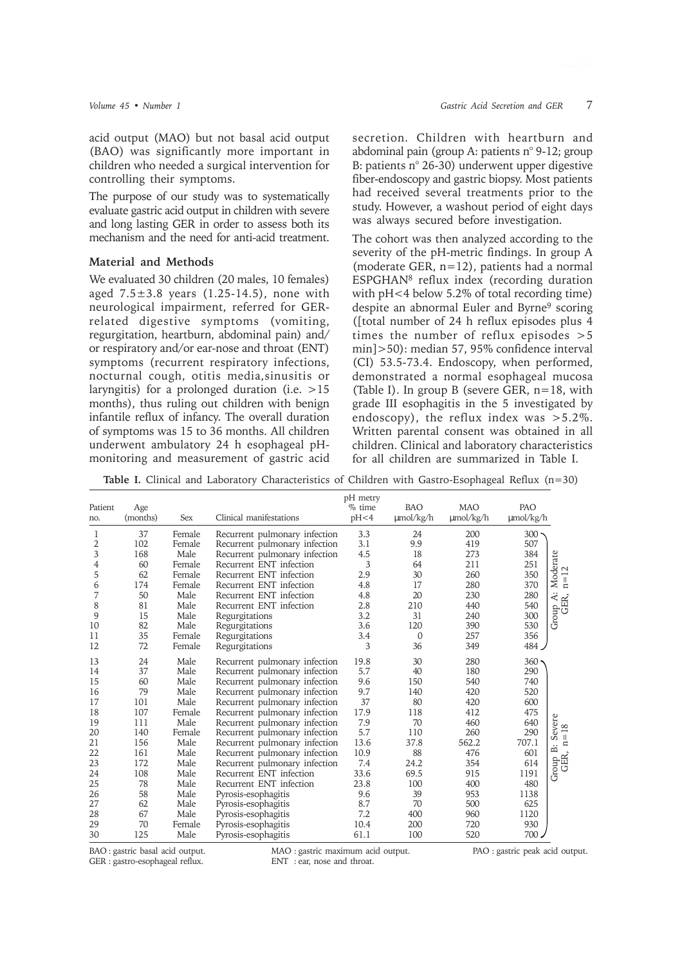acid output (MAO) but not basal acid output (BAO) was significantly more important in children who needed a surgical intervention for controlling their symptoms.

The purpose of our study was to systematically evaluate gastric acid output in children with severe and long lasting GER in order to assess both its mechanism and the need for anti-acid treatment.

### **Material and Methods**

We evaluated 30 children (20 males, 10 females) aged  $7.5 \pm 3.8$  years  $(1.25 - 14.5)$ , none with neurological impairment, referred for GERrelated digestive symptoms (vomiting, regurgitation, heartburn, abdominal pain) and/ or respiratory and/or ear-nose and throat (ENT) symptoms (recurrent respiratory infections, nocturnal cough, otitis media,sinusitis or laryngitis) for a prolonged duration (i.e. >15 months), thus ruling out children with benign infantile reflux of infancy. The overall duration of symptoms was 15 to 36 months. All children underwent ambulatory 24 h esophageal pHmonitoring and measurement of gastric acid

secretion. Children with heartburn and abdominal pain (group A: patients n° 9-12; group B: patients n° 26-30) underwent upper digestive fiber-endoscopy and gastric biopsy. Most patients had received several treatments prior to the study. However, a washout period of eight days was always secured before investigation.

The cohort was then analyzed according to the severity of the pH-metric findings. In group A (moderate GER, n=12), patients had a normal ESPGHAN8 reflux index (recording duration with pH<4 below 5.2% of total recording time) despite an abnormal Euler and Byrne9 scoring ([total number of 24 h reflux episodes plus 4 times the number of reflux episodes >5 min]>50): median 57, 95% confidence interval (CI) 53.5-73.4. Endoscopy, when performed, demonstrated a normal esophageal mucosa (Table I). In group B (severe GER, n=18, with grade III esophagitis in the 5 investigated by endoscopy), the reflux index was  $>5.2\%$ . Written parental consent was obtained in all children. Clinical and laboratory characteristics for all children are summarized in Table I.

**Table I.** Clinical and Laboratory Characteristics of Children with Gastro-Esophageal Reflux (n=30)

| Patient<br>no. | Age<br>(months) | Sex    | Clinical manifestations       | pH metry<br>% time<br>pH<4 | <b>BAO</b><br>$\mu$ mol/kg/h | <b>MAO</b><br>$\mu$ mol/kg/h | PAO<br>$\mu$ mol/kg/h |                                                          |
|----------------|-----------------|--------|-------------------------------|----------------------------|------------------------------|------------------------------|-----------------------|----------------------------------------------------------|
| 1              | 37              | Female | Recurrent pulmonary infection | 3.3                        | 24                           | 200                          | 300                   |                                                          |
| 2              | 102             | Female | Recurrent pulmonary infection | 3.1                        | 9.9                          | 419                          | 507                   |                                                          |
| 3              | 168             | Male   | Recurrent pulmonary infection | 4.5                        | 18                           | 273                          | 384                   | $\begin{array}{c}\n\text{Moderate} \\ n=12\n\end{array}$ |
| 4              | 60              | Female | Recurrent ENT infection       | $\overline{3}$             | 64                           | 211                          | 251                   |                                                          |
| 5              | 62              | Female | Recurrent ENT infection       | 2.9                        | 30                           | 260                          | 350                   |                                                          |
| 6              | 174             | Female | Recurrent ENT infection       | 4.8                        | 17                           | 280                          | 370                   |                                                          |
| 7              | 50              | Male   | Recurrent ENT infection       | 4.8                        | 20                           | 230                          | 280                   | up A:<br>GER,                                            |
| 8              | 81              | Male   | Recurrent ENT infection       | 2.8                        | 210                          | 440                          | 540                   | Group                                                    |
| 9              | 15              | Male   | Regurgitations                | 3.2                        | 31                           | 240                          | 300                   |                                                          |
| 10             | 82              | Male   | Regurgitations                | 3.6                        | 120                          | 390                          | 530                   |                                                          |
| 11             | 35              | Female | Regurgitations                | 3.4                        | $\mathbf{0}$                 | 257                          | 356                   |                                                          |
| 12             | 72              | Female | Regurgitations                | 3                          | 36                           | 349                          | 484                   |                                                          |
| 13             | 24              | Male   | Recurrent pulmonary infection | 19.8                       | 30                           | 280                          | $360 -$               |                                                          |
| 14             | 37              | Male   | Recurrent pulmonary infection | 5.7                        | 40                           | 180                          | 290                   |                                                          |
| 15             | 60              | Male   | Recurrent pulmonary infection | 9.6                        | 150                          | 540                          | 740                   |                                                          |
| 16             | 79              | Male   | Recurrent pulmonary infection | 9.7                        | 140                          | 420                          | 520                   |                                                          |
| 17             | 101             | Male   | Recurrent pulmonary infection | 37                         | 80                           | 420                          | 600                   |                                                          |
| 18             | 107             | Female | Recurrent pulmonary infection | 17.9                       | 118                          | 412                          | 475                   |                                                          |
| 19             | 111             | Male   | Recurrent pulmonary infection | 7.9                        | 70                           | 460                          | 640                   | $18\,$                                                   |
| 20             | 140             | Female | Recurrent pulmonary infection | 5.7                        | 110                          | 260                          | 290                   | Severe<br>$\mathbf{u}$                                   |
| 21             | 156             | Male   | Recurrent pulmonary infection | 13.6                       | 37.8                         | 562.2                        | 707.1                 | $\Xi$<br>$\dot{\Xi}$                                     |
| 22             | 161             | Male   | Recurrent pulmonary infection | 10.9                       | 88                           | 476                          | 601                   |                                                          |
| 23             | 172             | Male   | Recurrent pulmonary infection | 7.4                        | 24.2                         | 354                          | 614                   | GER,<br>Group                                            |
| 24             | 108             | Male   | Recurrent ENT infection       | 33.6                       | 69.5                         | 915                          | 1191                  |                                                          |
| 25             | 78              | Male   | Recurrent ENT infection       | 23.8                       | 100                          | 400                          | 480                   |                                                          |
| 26             | 58              | Male   | Pyrosis-esophagitis           | 9.6                        | 39                           | 953                          | 1138                  |                                                          |
| 27             | 62              | Male   | Pyrosis-esophagitis           | 8.7                        | 70                           | 500                          | 625                   |                                                          |
| 28             | 67              | Male   | Pyrosis-esophagitis           | 7.2                        | 400                          | 960                          | 1120                  |                                                          |
| 29             | 70              | Female | Pyrosis-esophagitis           | 10.4                       | 200                          | 720                          | 930                   |                                                          |
| 30             | 125             | Male   | Pyrosis-esophagitis           | 61.1                       | 100                          | 520                          | 700.                  |                                                          |

GER : gastro-esophageal reflux.

BAO : gastric basal acid output.<br>
GER : gastro-esophageal reflux.<br>
ENT : ear, nose and throat.<br>
PAO : gastro-esophageal reflux.<br>
ENT : ear, nose and throat.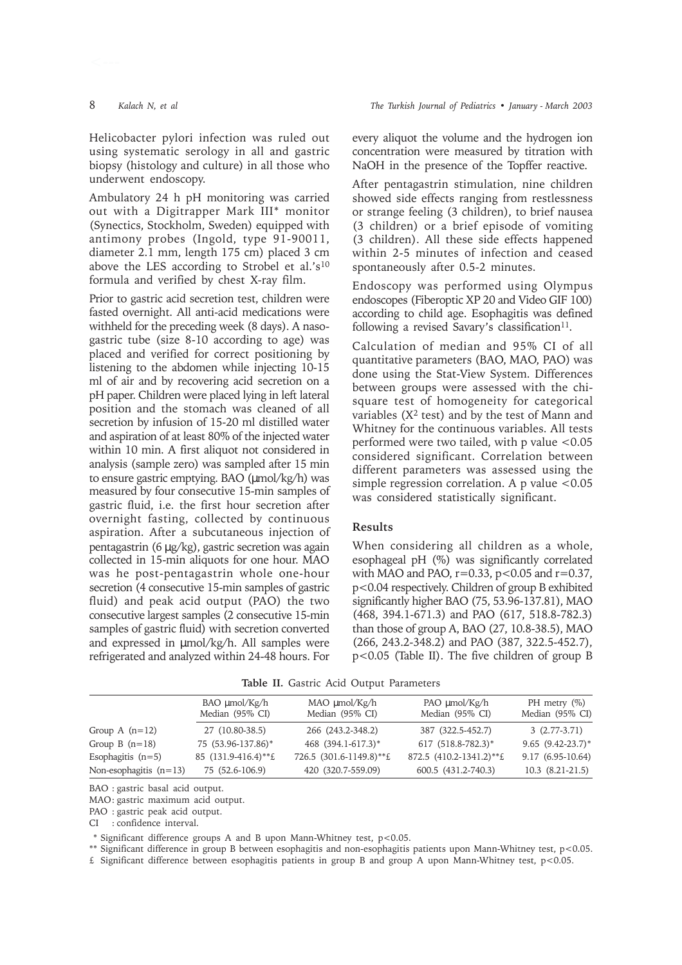underwent endoscopy.

Ambulatory 24 h pH monitoring was carried out with a Digitrapper Mark III\* monitor (Synectics, Stockholm, Sweden) equipped with antimony probes (Ingold, type 91-90011, diameter 2.1 mm, length 175 cm) placed 3 cm above the LES according to Strobel et al.'s<sup>10</sup> formula and verified by chest X-ray film.

Prior to gastric acid secretion test, children were fasted overnight. All anti-acid medications were withheld for the preceding week (8 days). A nasogastric tube (size 8-10 according to age) was placed and verified for correct positioning by listening to the abdomen while injecting 10-15 ml of air and by recovering acid secretion on a pH paper. Children were placed lying in left lateral position and the stomach was cleaned of all secretion by infusion of 15-20 ml distilled water and aspiration of at least 80% of the injected water within 10 min. A first aliquot not considered in analysis (sample zero) was sampled after 15 min to ensure gastric emptying. BAO (µmol/kg/h) was measured by four consecutive 15-min samples of gastric fluid, i.e. the first hour secretion after overnight fasting, collected by continuous aspiration. After a subcutaneous injection of pentagastrin (6 µg/kg), gastric secretion was again collected in 15-min aliquots for one hour. MAO was he post-pentagastrin whole one-hour secretion (4 consecutive 15-min samples of gastric fluid) and peak acid output (PAO) the two consecutive largest samples (2 consecutive 15-min samples of gastric fluid) with secretion converted and expressed in µmol/kg/h. All samples were refrigerated and analyzed within 24-48 hours. For

every aliquot the volume and the hydrogen ion concentration were measured by titration with NaOH in the presence of the Topffer reactive.

After pentagastrin stimulation, nine children showed side effects ranging from restlessness or strange feeling (3 children), to brief nausea (3 children) or a brief episode of vomiting (3 children). All these side effects happened within 2-5 minutes of infection and ceased spontaneously after 0.5-2 minutes.

Endoscopy was performed using Olympus endoscopes (Fiberoptic XP 20 and Video GIF 100) according to child age. Esophagitis was defined following a revised Savary's classification $11$ .

Calculation of median and 95% CI of all quantitative parameters (BAO, MAO, PAO) was done using the Stat-View System. Differences between groups were assessed with the chisquare test of homogeneity for categorical variables  $(X^2$  test) and by the test of Mann and Whitney for the continuous variables. All tests performed were two tailed, with p value <0.05 considered significant. Correlation between different parameters was assessed using the simple regression correlation. A p value  $< 0.05$ was considered statistically significant.

#### **Results**

When considering all children as a whole, esophageal pH (%) was significantly correlated with MAO and PAO,  $r=0.33$ ,  $p<0.05$  and  $r=0.37$ , p<0.04 respectively. Children of group B exhibited significantly higher BAO (75, 53.96-137.81), MAO (468, 394.1-671.3) and PAO (617, 518.8-782.3) than those of group A, BAO (27, 10.8-38.5), MAO (266, 243.2-348.2) and PAO (387, 322.5-452.7), p<0.05 (Table II). The five children of group B

|  |  |  |  |  | Table II. Gastric Acid Output Parameters |
|--|--|--|--|--|------------------------------------------|
|--|--|--|--|--|------------------------------------------|

|                          | $BAO \mu mol/Kg/h$<br>Median (95% CI) | MAO µmol/Kg/h<br>Median (95% CI) | PAO µmol/Kg/h<br>Median (95% CI) | PH metry $(\%)$<br>Median (95% CI) |
|--------------------------|---------------------------------------|----------------------------------|----------------------------------|------------------------------------|
| Group A $(n=12)$         | 27 (10.80-38.5)                       | 266 (243.2-348.2)                | 387 (322.5-452.7)                | $3(2.77-3.71)$                     |
| Group B $(n=18)$         | 75 (53.96-137.86)*                    | 468 (394.1-617.3)*               | 617 (518.8-782.3)*               | $9.65$ $(9.42 - 23.7)^*$           |
| Esophagitis $(n=5)$      | 85 (131.9-416.4)**£                   | 726.5 (301.6-1149.8)**£          | 872.5 (410.2-1341.2)**£          | $9.17(6.95-10.64)$                 |
| Non-esophagitis $(n=13)$ | 75 (52.6-106.9)                       | 420 (320.7-559.09)               | 600.5 (431.2-740.3)              | $10.3$ $(8.21-21.5)$               |

BAO : gastric basal acid output.

MAO: gastric maximum acid output.

PAO : gastric peak acid output.

CI : confidence interval.

\*\* Significant difference groups A and B upon Mann-Whitney test, p<0.05.

\*\* Significant difference in group B between esophagitis and non-esophagitis patients upon Mann-Whitney test, p<0.05.

 $£$  Significant difference between esophagitis patients in group B and group A upon Mann-Whitney test, p<0.05.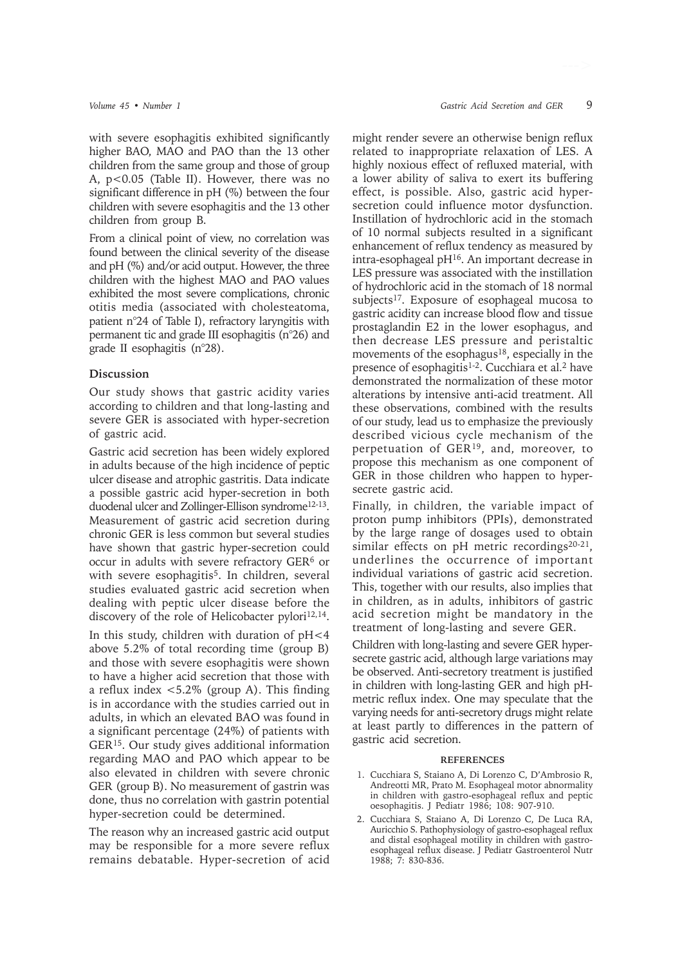with severe esophagitis exhibited significantly higher BAO, MAO and PAO than the 13 other children from the same group and those of group A, p<0.05 (Table II). However, there was no significant difference in pH (%) between the four children with severe esophagitis and the 13 other children from group B.

From a clinical point of view, no correlation was found between the clinical severity of the disease and pH (%) and/or acid output. However, the three children with the highest MAO and PAO values exhibited the most severe complications, chronic otitis media (associated with cholesteatoma, patient n°24 of Table I), refractory laryngitis with permanent tic and grade III esophagitis (n°26) and grade II esophagitis (n°28).

## **Discussion**

Our study shows that gastric acidity varies according to children and that long-lasting and severe GER is associated with hyper-secretion of gastric acid.

Gastric acid secretion has been widely explored in adults because of the high incidence of peptic ulcer disease and atrophic gastritis. Data indicate a possible gastric acid hyper-secretion in both duodenal ulcer and Zollinger-Ellison syndrome<sup>12-13</sup>. Measurement of gastric acid secretion during chronic GER is less common but several studies have shown that gastric hyper-secretion could occur in adults with severe refractory GER6 or with severe esophagitis<sup>5</sup>. In children, several studies evaluated gastric acid secretion when dealing with peptic ulcer disease before the discovery of the role of Helicobacter pylori $12,14$ .

In this study, children with duration of pH<4 above 5.2% of total recording time (group B) and those with severe esophagitis were shown to have a higher acid secretion that those with a reflux index <5.2% (group A). This finding is in accordance with the studies carried out in adults, in which an elevated BAO was found in a significant percentage (24%) of patients with GER15. Our study gives additional information regarding MAO and PAO which appear to be also elevated in children with severe chronic GER (group B). No measurement of gastrin was done, thus no correlation with gastrin potential hyper-secretion could be determined.

The reason why an increased gastric acid output may be responsible for a more severe reflux remains debatable. Hyper-secretion of acid might render severe an otherwise benign reflux related to inappropriate relaxation of LES. A highly noxious effect of refluxed material, with a lower ability of saliva to exert its buffering effect, is possible. Also, gastric acid hypersecretion could influence motor dysfunction. Instillation of hydrochloric acid in the stomach of 10 normal subjects resulted in a significant enhancement of reflux tendency as measured by intra-esophageal pH16. An important decrease in LES pressure was associated with the instillation of hydrochloric acid in the stomach of 18 normal subjects<sup>17</sup>. Exposure of esophageal mucosa to gastric acidity can increase blood flow and tissue prostaglandin E2 in the lower esophagus, and then decrease LES pressure and peristaltic movements of the esophagus<sup>18</sup>, especially in the presence of esophagitis<sup>1-2</sup>. Cucchiara et al.<sup>2</sup> have demonstrated the normalization of these motor alterations by intensive anti-acid treatment. All these observations, combined with the results of our study, lead us to emphasize the previously described vicious cycle mechanism of the perpetuation of GER19, and, moreover, to propose this mechanism as one component of GER in those children who happen to hypersecrete gastric acid.

Finally, in children, the variable impact of proton pump inhibitors (PPIs), demonstrated by the large range of dosages used to obtain similar effects on pH metric recordings<sup>20-21</sup>, underlines the occurrence of important individual variations of gastric acid secretion. This, together with our results, also implies that in children, as in adults, inhibitors of gastric acid secretion might be mandatory in the treatment of long-lasting and severe GER.

Children with long-lasting and severe GER hypersecrete gastric acid, although large variations may be observed. Anti-secretory treatment is justified in children with long-lasting GER and high pHmetric reflux index. One may speculate that the varying needs for anti-secretory drugs might relate at least partly to differences in the pattern of gastric acid secretion.

#### **REFERENCES**

- 1. Cucchiara S, Staiano A, Di Lorenzo C, D'Ambrosio R, Andreotti MR, Prato M. Esophageal motor abnormality in children with gastro-esophageal reflux and peptic oesophagitis. J Pediatr 1986; 108: 907-910.
- 2. Cucchiara S, Staiano A, Di Lorenzo C, De Luca RA, Auricchio S. Pathophysiology of gastro-esophageal reflux and distal esophageal motility in children with gastroesophageal reflux disease. J Pediatr Gastroenterol Nutr 1988; 7: 830-836.